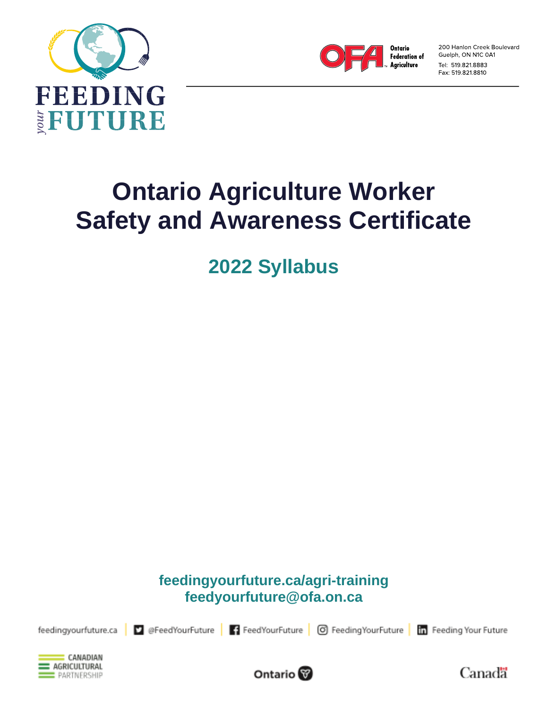



200 Hanlon Creek Boulevard Guelph, ON N1C 0A1 Tel: 519.821.8883 Fax: 519.821.8810

# **Ontario Agriculture Worker Safety and Awareness Certificate**

**2022 Syllabus**

**feedingyourfuture.ca/agri-training feedyourfuture@ofa.on.ca**

feedingyourfuture.ca

C @FeedYourFuture | 1 FeedYourFuture | O FeedingYourFuture | in Feeding Your Future





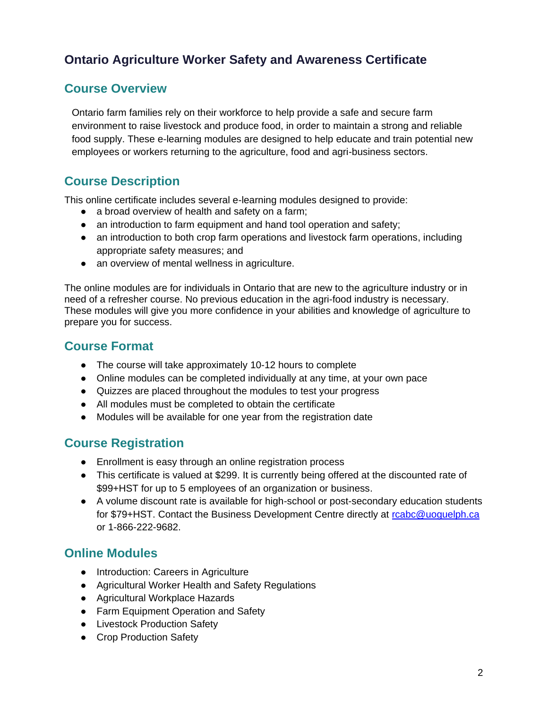# **Ontario Agriculture Worker Safety and Awareness Certificate**

# **Course Overview**

Ontario farm families rely on their workforce to help provide a safe and secure farm environment to raise livestock and produce food, in order to maintain a strong and reliable food supply. These e-learning modules are designed to help educate and train potential new employees or workers returning to the agriculture, food and agri-business sectors.

# **Course Description**

This online certificate includes several e-learning modules designed to provide:

- a broad overview of health and safety on a farm;
- an introduction to farm equipment and hand tool operation and safety;
- an introduction to both crop farm operations and livestock farm operations, including appropriate safety measures; and
- an overview of mental wellness in agriculture.

The online modules are for individuals in Ontario that are new to the agriculture industry or in need of a refresher course. No previous education in the agri-food industry is necessary. These modules will give you more confidence in your abilities and knowledge of agriculture to prepare you for success.

# **Course Format**

- The course will take approximately 10-12 hours to complete
- Online modules can be completed individually at any time, at your own pace
- Quizzes are placed throughout the modules to test your progress
- All modules must be completed to obtain the certificate
- Modules will be available for one year from the registration date

## **Course Registration**

- Enrollment is easy through an online registration process
- This certificate is valued at \$299. It is currently being offered at the discounted rate of \$99+HST for up to 5 employees of an organization or business.
- A volume discount rate is available for high-school or post-secondary education students for \$79+HST. Contact the Business Development Centre directly at [rcabc@uoguelph.ca](mailto:rcabc@uoguelph.ca) or 1-866-222-9682.

## **Online Modules**

- Introduction: Careers in Agriculture
- Agricultural Worker Health and Safety Regulations
- Agricultural Workplace Hazards
- Farm Equipment Operation and Safety
- Livestock Production Safety
- Crop Production Safety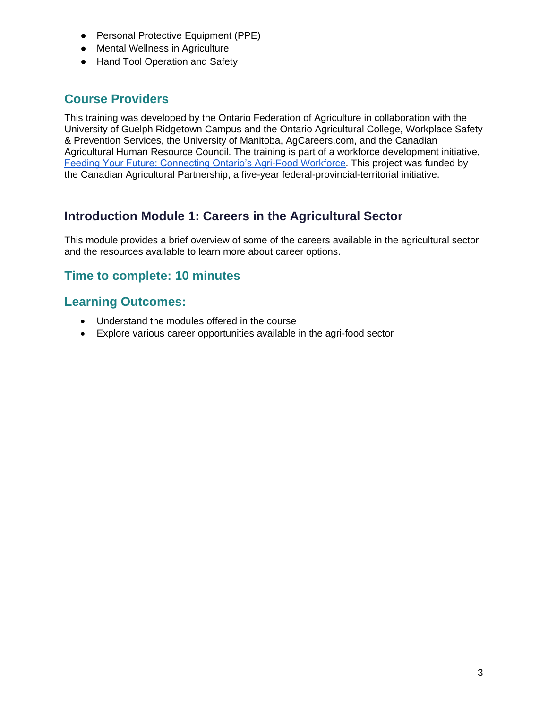- Personal Protective Equipment (PPE)
- Mental Wellness in Agriculture
- Hand Tool Operation and Safety

# **Course Providers**

This training was developed by the Ontario Federation of Agriculture in collaboration with the University of Guelph Ridgetown Campus and the Ontario Agricultural College, Workplace Safety & Prevention Services, the University of Manitoba, AgCareers.com, and the Canadian Agricultural Human Resource Council. The training is part of a workforce development initiative, [Feeding Your Future: Connecting Ontario's Agri-Food Workforce.](https://feedingyourfuture.ca/) This project was funded by the Canadian Agricultural Partnership, a five-year federal-provincial-territorial initiative.

# **Introduction Module 1: Careers in the Agricultural Sector**

This module provides a brief overview of some of the careers available in the agricultural sector and the resources available to learn more about career options.

## **Time to complete: 10 minutes**

#### **Learning Outcomes:**

- Understand the modules offered in the course
- Explore various career opportunities available in the agri-food sector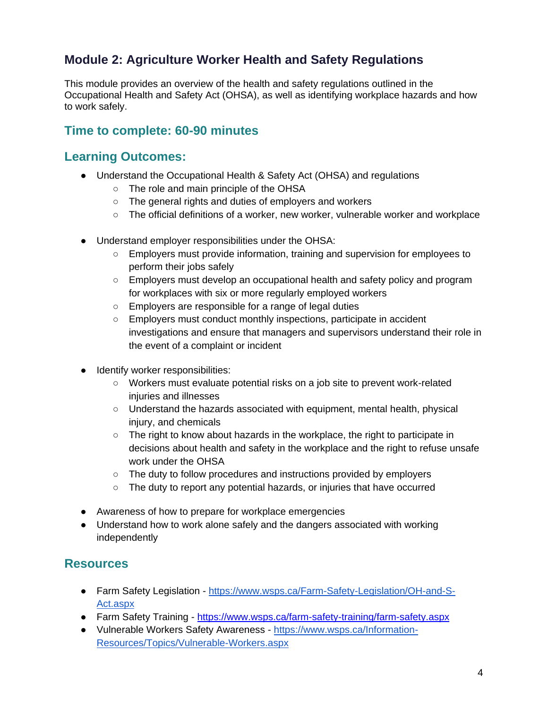# **Module 2: Agriculture Worker Health and Safety Regulations**

This module provides an overview of the health and safety regulations outlined in the Occupational Health and Safety Act (OHSA), as well as identifying workplace hazards and how to work safely.

#### **Time to complete: 60-90 minutes**

#### **Learning Outcomes:**

- Understand the Occupational Health & Safety Act (OHSA) and regulations
	- The role and main principle of the OHSA
	- The general rights and duties of employers and workers
	- The official definitions of a worker, new worker, vulnerable worker and workplace
- Understand employer responsibilities under the OHSA:
	- Employers must provide information, training and supervision for employees to perform their jobs safely
	- Employers must develop an occupational health and safety policy and program for workplaces with six or more regularly employed workers
	- Employers are responsible for a range of legal duties
	- Employers must conduct monthly inspections, participate in accident investigations and ensure that managers and supervisors understand their role in the event of a complaint or incident
- Identify worker responsibilities:
	- Workers must evaluate potential risks on a job site to prevent work-related injuries and illnesses
	- $\circ$  Understand the hazards associated with equipment, mental health, physical injury, and chemicals
	- The right to know about hazards in the workplace, the right to participate in decisions about health and safety in the workplace and the right to refuse unsafe work under the OHSA
	- The duty to follow procedures and instructions provided by employers
	- The duty to report any potential hazards, or injuries that have occurred
- Awareness of how to prepare for workplace emergencies
- Understand how to work alone safely and the dangers associated with working independently

- Farm Safety Legislation [https://www.wsps.ca/Farm-Safety-Legislation/OH-and-S-](https://www.wsps.ca/Farm-Safety-Legislation/OH-and-S-Act.aspx)[Act.aspx](https://www.wsps.ca/Farm-Safety-Legislation/OH-and-S-Act.aspx)
- Farm Safety Training <https://www.wsps.ca/farm-safety-training/farm-safety.aspx>
- Vulnerable Workers Safety Awareness [https://www.wsps.ca/Information-](https://www.wsps.ca/Information-Resources/Topics/Vulnerable-Workers.aspx)[Resources/Topics/Vulnerable-Workers.aspx](https://www.wsps.ca/Information-Resources/Topics/Vulnerable-Workers.aspx)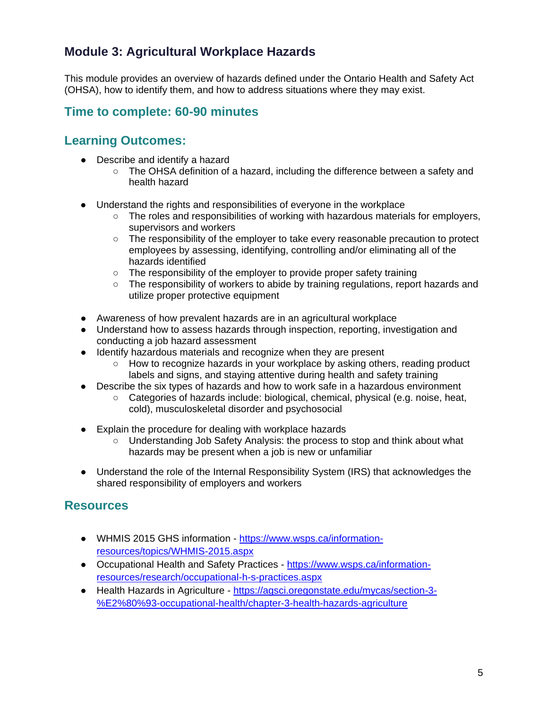# **Module 3: Agricultural Workplace Hazards**

This module provides an overview of hazards defined under the Ontario Health and Safety Act (OHSA), how to identify them, and how to address situations where they may exist.

## **Time to complete: 60-90 minutes**

## **Learning Outcomes:**

- Describe and identify a hazard
	- The OHSA definition of a hazard, including the difference between a safety and health hazard
- Understand the rights and responsibilities of everyone in the workplace
	- $\circ$  The roles and responsibilities of working with hazardous materials for employers, supervisors and workers
	- The responsibility of the employer to take every reasonable precaution to protect employees by assessing, identifying, controlling and/or eliminating all of the hazards identified
	- The responsibility of the employer to provide proper safety training
	- The responsibility of workers to abide by training regulations, report hazards and utilize proper protective equipment
- Awareness of how prevalent hazards are in an agricultural workplace
- Understand how to assess hazards through inspection, reporting, investigation and conducting a job hazard assessment
- Identify hazardous materials and recognize when they are present
	- $\circ$  How to recognize hazards in your workplace by asking others, reading product labels and signs, and staying attentive during health and safety training
- Describe the six types of hazards and how to work safe in a hazardous environment
	- Categories of hazards include: biological, chemical, physical (e.g. noise, heat, cold), musculoskeletal disorder and psychosocial
- Explain the procedure for dealing with workplace hazards
	- Understanding Job Safety Analysis: the process to stop and think about what hazards may be present when a job is new or unfamiliar
- Understand the role of the Internal Responsibility System (IRS) that acknowledges the shared responsibility of employers and workers

- WHMIS 2015 GHS information [https://www.wsps.ca/information](https://www.wsps.ca/information-resources/topics/WHMIS-2015.aspx)[resources/topics/WHMIS-2015.aspx](https://www.wsps.ca/information-resources/topics/WHMIS-2015.aspx)
- Occupational Health and Safety Practices [https://www.wsps.ca/information](https://www.wsps.ca/information-resources/research/occupational-h-s-practices.aspx)[resources/research/occupational-h-s-practices.aspx](https://www.wsps.ca/information-resources/research/occupational-h-s-practices.aspx)
- Health Hazards in Agriculture [https://agsci.oregonstate.edu/mycas/section-3-](https://agsci.oregonstate.edu/mycas/section-3-%E2%80%93-occupational-health/chapter-3-health-hazards-agriculture) [%E2%80%93-occupational-health/chapter-3-health-hazards-agriculture](https://agsci.oregonstate.edu/mycas/section-3-%E2%80%93-occupational-health/chapter-3-health-hazards-agriculture)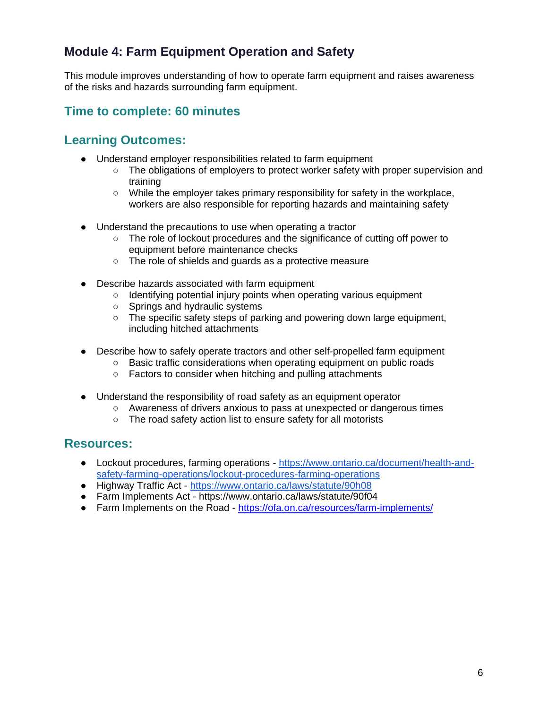# **Module 4: Farm Equipment Operation and Safety**

This module improves understanding of how to operate farm equipment and raises awareness of the risks and hazards surrounding farm equipment.

# **Time to complete: 60 minutes**

#### **Learning Outcomes:**

- Understand employer responsibilities related to farm equipment
	- The obligations of employers to protect worker safety with proper supervision and training
	- While the employer takes primary responsibility for safety in the workplace, workers are also responsible for reporting hazards and maintaining safety
- Understand the precautions to use when operating a tractor
	- The role of lockout procedures and the significance of cutting off power to equipment before maintenance checks
	- The role of shields and guards as a protective measure
- Describe hazards associated with farm equipment
	- Identifying potential injury points when operating various equipment
	- Springs and hydraulic systems
	- The specific safety steps of parking and powering down large equipment, including hitched attachments
- Describe how to safely operate tractors and other self-propelled farm equipment
	- Basic traffic considerations when operating equipment on public roads
		- Factors to consider when hitching and pulling attachments
- Understand the responsibility of road safety as an equipment operator
	- Awareness of drivers anxious to pass at unexpected or dangerous times
		- The road safety action list to ensure safety for all motorists

- Lockout procedures, farming operations [https://www.ontario.ca/document/health-and](https://www.ontario.ca/document/health-and-safety-farming-operations/lockout-procedures-farming-operations)[safety-farming-operations/lockout-procedures-farming-operations](https://www.ontario.ca/document/health-and-safety-farming-operations/lockout-procedures-farming-operations)
- Highway Traffic Act <https://www.ontario.ca/laws/statute/90h08>
- Farm Implements Act <https://www.ontario.ca/laws/statute/90f04>
- Farm Implements on the Road <https://ofa.on.ca/resources/farm-implements/>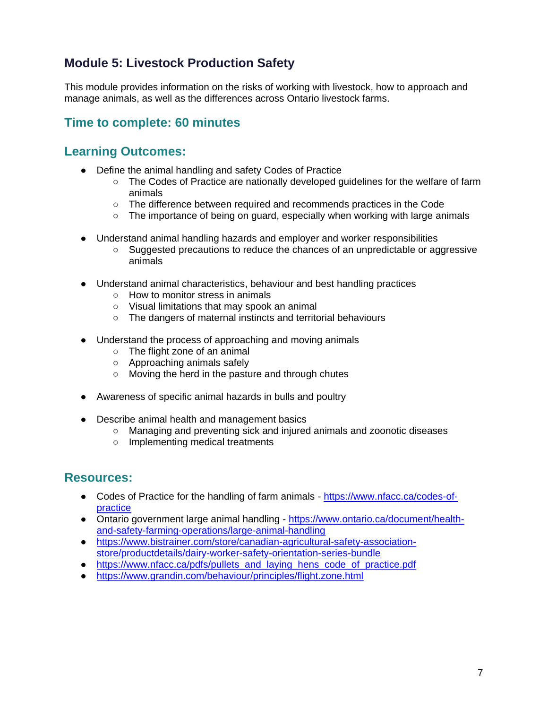# **Module 5: Livestock Production Safety**

This module provides information on the risks of working with livestock, how to approach and manage animals, as well as the differences across Ontario livestock farms.

# **Time to complete: 60 minutes**

#### **Learning Outcomes:**

- Define the animal handling and safety Codes of Practice
	- The Codes of Practice are nationally developed guidelines for the welfare of farm animals
	- The difference between required and recommends practices in the Code
	- $\circ$  The importance of being on guard, especially when working with large animals
- Understand animal handling hazards and employer and worker responsibilities
	- Suggested precautions to reduce the chances of an unpredictable or aggressive animals
- Understand animal characteristics, behaviour and best handling practices
	- How to monitor stress in animals
	- Visual limitations that may spook an animal
	- The dangers of maternal instincts and territorial behaviours
- Understand the process of approaching and moving animals
	- The flight zone of an animal
	- Approaching animals safely
	- Moving the herd in the pasture and through chutes
- Awareness of specific animal hazards in bulls and poultry
- Describe animal health and management basics
	- Managing and preventing sick and injured animals and zoonotic diseases
	- Implementing medical treatments

- Codes of Practice for the handling of farm animals [https://www.nfacc.ca/codes-of](https://www.nfacc.ca/codes-of-practice)[practice](https://www.nfacc.ca/codes-of-practice)
- Ontario government large animal handling [https://www.ontario.ca/document/health](https://www.ontario.ca/document/health-and-safety-farming-operations/large-animal-handling)[and-safety-farming-operations/large-animal-handling](https://www.ontario.ca/document/health-and-safety-farming-operations/large-animal-handling)
- [https://www.bistrainer.com/store/canadian-agricultural-safety-association](https://www.bistrainer.com/store/canadian-agricultural-safety-association-store/productdetails/dairy-worker-safety-orientation-series-bundle)[store/productdetails/dairy-worker-safety-orientation-series-bundle](https://www.bistrainer.com/store/canadian-agricultural-safety-association-store/productdetails/dairy-worker-safety-orientation-series-bundle)
- [https://www.nfacc.ca/pdfs/pullets\\_and\\_laying\\_hens\\_code\\_of\\_practice.pdf](https://www.nfacc.ca/pdfs/pullets_and_laying_hens_code_of_practice.pdf)
- <https://www.grandin.com/behaviour/principles/flight.zone.html>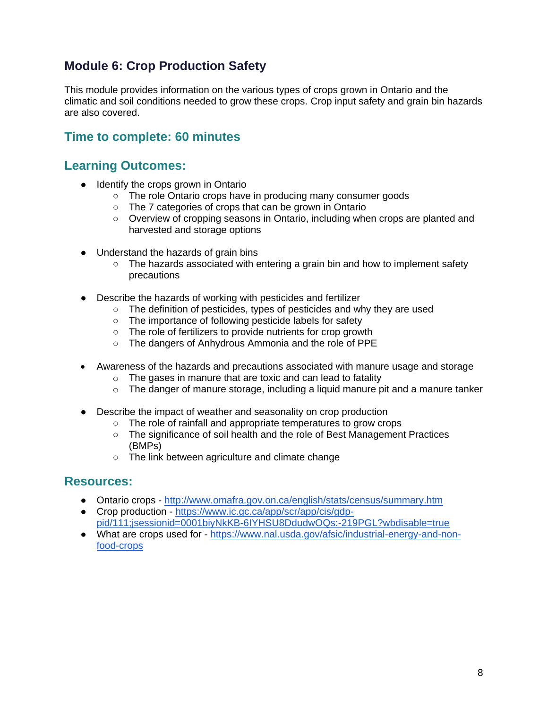# **Module 6: Crop Production Safety**

This module provides information on the various types of crops grown in Ontario and the climatic and soil conditions needed to grow these crops. Crop input safety and grain bin hazards are also covered.

# **Time to complete: 60 minutes**

#### **Learning Outcomes:**

- Identify the crops grown in Ontario
	- The role Ontario crops have in producing many consumer goods
	- The 7 categories of crops that can be grown in Ontario
	- Overview of cropping seasons in Ontario, including when crops are planted and harvested and storage options
- Understand the hazards of grain bins
	- $\circ$  The hazards associated with entering a grain bin and how to implement safety precautions
- Describe the hazards of working with pesticides and fertilizer
	- The definition of pesticides, types of pesticides and why they are used
	- The importance of following pesticide labels for safety
	- The role of fertilizers to provide nutrients for crop growth
	- The dangers of Anhydrous Ammonia and the role of PPE
- Awareness of the hazards and precautions associated with manure usage and storage
	- $\circ$  The gases in manure that are toxic and can lead to fatality
	- $\circ$  The danger of manure storage, including a liquid manure pit and a manure tanker
- Describe the impact of weather and seasonality on crop production
	- The role of rainfall and appropriate temperatures to grow crops
	- The significance of soil health and the role of Best Management Practices (BMPs)
	- The link between agriculture and climate change

- Ontario crops <http://www.omafra.gov.on.ca/english/stats/census/summary.htm>
- Crop production [https://www.ic.gc.ca/app/scr/app/cis/gdp](https://www.ic.gc.ca/app/scr/app/cis/gdp-pid/111;jsessionid=0001biyNkKB-6IYHSU8DdudwOQs:-219PGL?wbdisable=true)[pid/111;jsessionid=0001biyNkKB-6IYHSU8DdudwOQs:-219PGL?wbdisable=true](https://www.ic.gc.ca/app/scr/app/cis/gdp-pid/111;jsessionid=0001biyNkKB-6IYHSU8DdudwOQs:-219PGL?wbdisable=true)
- What are crops used for [https://www.nal.usda.gov/afsic/industrial-energy-and-non](https://www.nal.usda.gov/afsic/industrial-energy-and-non-food-crops)[food-crops](https://www.nal.usda.gov/afsic/industrial-energy-and-non-food-crops)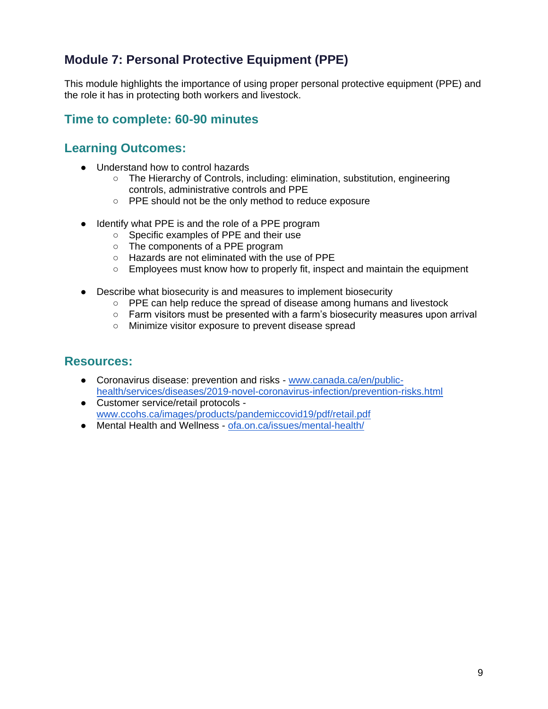# **Module 7: Personal Protective Equipment (PPE)**

This module highlights the importance of using proper personal protective equipment (PPE) and the role it has in protecting both workers and livestock.

#### **Time to complete: 60-90 minutes**

#### **Learning Outcomes:**

- Understand how to control hazards
	- The Hierarchy of Controls, including: elimination, substitution, engineering controls, administrative controls and PPE
	- PPE should not be the only method to reduce exposure
- Identify what PPE is and the role of a PPE program
	- Specific examples of PPE and their use
	- The components of a PPE program
	- Hazards are not eliminated with the use of PPE
	- Employees must know how to properly fit, inspect and maintain the equipment
- Describe what biosecurity is and measures to implement biosecurity
	- PPE can help reduce the spread of disease among humans and livestock
	- $\circ$  Farm visitors must be presented with a farm's biosecurity measures upon arrival
	- Minimize visitor exposure to prevent disease spread

- Coronavirus disease: prevention and risks [www.canada.ca/en/public](https://www.canada.ca/en/public-health/services/diseases/2019-novel-coronavirus-infection/prevention-risks.html)[health/services/diseases/2019-novel-coronavirus-infection/prevention-risks.html](https://www.canada.ca/en/public-health/services/diseases/2019-novel-coronavirus-infection/prevention-risks.html)
- Customer service/retail protocols [www.ccohs.ca/images/products/pandemiccovid19/pdf/retail.pdf](https://www.ccohs.ca/images/products/pandemiccovid19/pdf/retail.pdf)
- Mental Health and Wellness [ofa.on.ca/issues/mental-health/](https://ofa.on.ca/issues/mental-health/)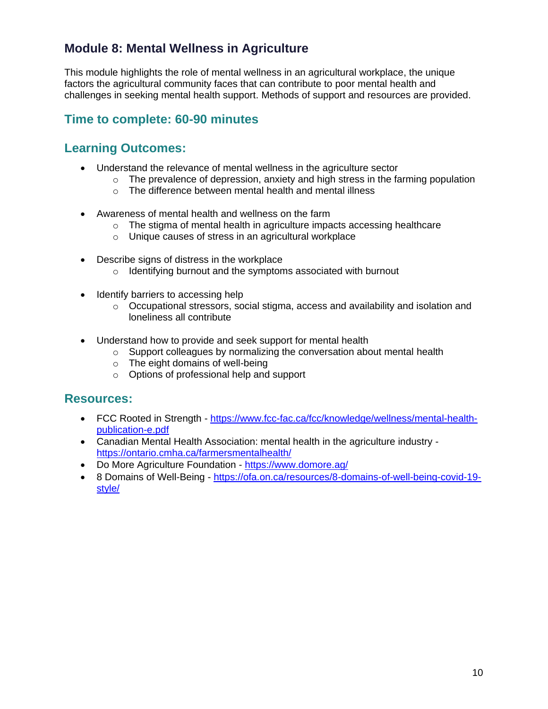# **Module 8: Mental Wellness in Agriculture**

This module highlights the role of mental wellness in an agricultural workplace, the unique factors the agricultural community faces that can contribute to poor mental health and challenges in seeking mental health support. Methods of support and resources are provided.

#### **Time to complete: 60-90 minutes**

#### **Learning Outcomes:**

- Understand the relevance of mental wellness in the agriculture sector
	- $\circ$  The prevalence of depression, anxiety and high stress in the farming population
	- o The difference between mental health and mental illness
- Awareness of mental health and wellness on the farm
	- o The stigma of mental health in agriculture impacts accessing healthcare
	- o Unique causes of stress in an agricultural workplace
- Describe signs of distress in the workplace
	- o Identifying burnout and the symptoms associated with burnout
- Identify barriers to accessing help
	- o Occupational stressors, social stigma, access and availability and isolation and loneliness all contribute
- Understand how to provide and seek support for mental health
	- o Support colleagues by normalizing the conversation about mental health
	- $\circ$  The eight domains of well-being
	- o Options of professional help and support

- FCC Rooted in Strength [https://www.fcc-fac.ca/fcc/knowledge/wellness/mental-health](https://www.fcc-fac.ca/fcc/knowledge/wellness/mental-health-publication-e.pdf)[publication-e.pdf](https://www.fcc-fac.ca/fcc/knowledge/wellness/mental-health-publication-e.pdf)
- Canadian Mental Health Association: mental health in the agriculture industry <https://ontario.cmha.ca/farmersmentalhealth/>
- Do More Agriculture Foundation <https://www.domore.ag/>
- 8 Domains of Well-Being [https://ofa.on.ca/resources/8-domains-of-well-being-covid-19](https://ofa.on.ca/resources/8-domains-of-well-being-covid-19-style/) [style/](https://ofa.on.ca/resources/8-domains-of-well-being-covid-19-style/)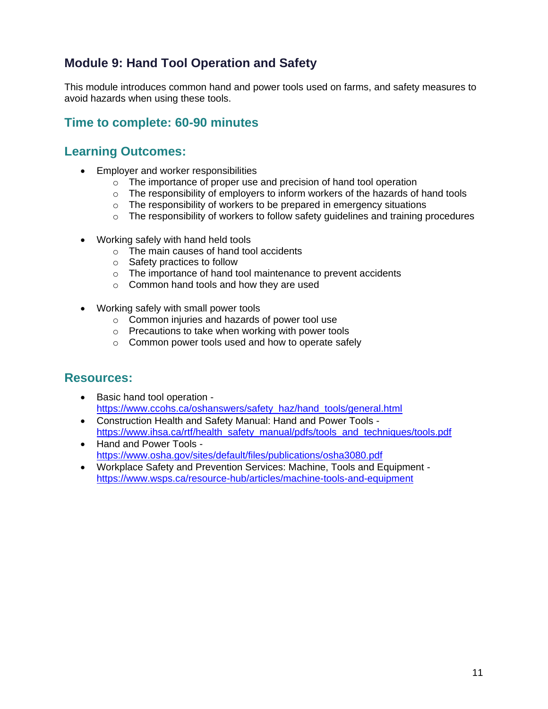# **Module 9: Hand Tool Operation and Safety**

This module introduces common hand and power tools used on farms, and safety measures to avoid hazards when using these tools.

## **Time to complete: 60-90 minutes**

#### **Learning Outcomes:**

- Employer and worker responsibilities
	- o The importance of proper use and precision of hand tool operation
	- $\circ$  The responsibility of employers to inform workers of the hazards of hand tools
	- o The responsibility of workers to be prepared in emergency situations
	- o The responsibility of workers to follow safety guidelines and training procedures
- Working safely with hand held tools
	- o The main causes of hand tool accidents
	- o Safety practices to follow
	- o The importance of hand tool maintenance to prevent accidents
	- o Common hand tools and how they are used
- Working safely with small power tools
	- o Common injuries and hazards of power tool use
	- o Precautions to take when working with power tools
	- o Common power tools used and how to operate safely

- Basic hand tool operation [https://www.ccohs.ca/oshanswers/safety\\_haz/hand\\_tools/general.html](https://www.ccohs.ca/oshanswers/safety_haz/hand_tools/general.html)
- Construction Health and Safety Manual: Hand and Power Tools [https://www.ihsa.ca/rtf/health\\_safety\\_manual/pdfs/tools\\_and\\_techniques/tools.pdf](https://www.ihsa.ca/rtf/health_safety_manual/pdfs/tools_and_techniques/tools.pdf)
- Hand and Power Tools <https://www.osha.gov/sites/default/files/publications/osha3080.pdf>
- Workplace Safety and Prevention Services: Machine, Tools and Equipment <https://www.wsps.ca/resource-hub/articles/machine-tools-and-equipment>